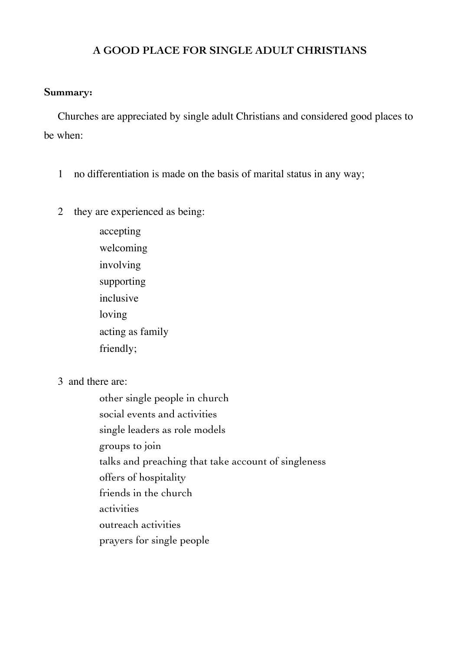# **A GOOD PLACE FOR SINGLE ADULT CHRISTIANS**

# **Summary:**

Churches are appreciated by single adult Christians and considered good places to be when:

- 1 no differentiation is made on the basis of marital status in any way;
- 2 they are experienced as being:

 accepting welcoming involving supporting inclusive loving acting as family friendly;

3 and there are:

 other single people in church social events and activities single leaders as role models groups to join talks and preaching that take account of singleness offers of hospitality friends in the church activities outreach activities prayers for single people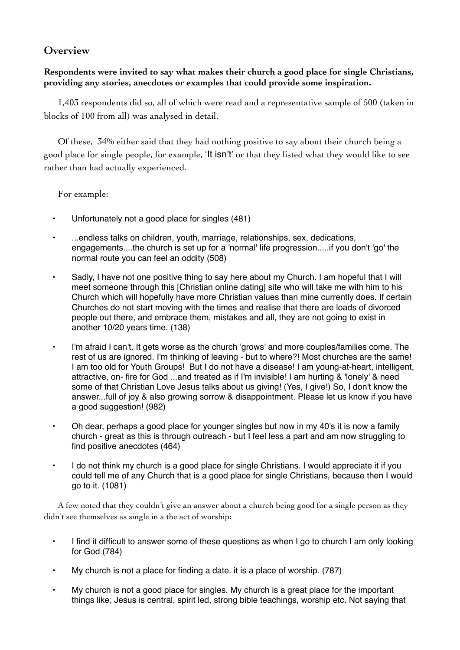# **Overview**

# **Respondents were invited to say what makes their church a good place for single Christians, providing any stories, anecdotes or examples that could provide some inspiration.**

1,403 respondents did so, all of which were read and a representative sample of 500 (taken in blocks of 100 from all) was analysed in detail.

Of these, 34% either said that they had nothing positive to say about their church being a good place for single people, for example, 'It isn't' or that they listed what they would like to see rather than had actually experienced.

For example:

- Unfortunately not a good place for singles (481)
- ...endless talks on children, youth, marriage, relationships, sex, dedications, engagements....the church is set up for a 'normal' life progression.....if you don't 'go' the normal route you can feel an oddity (508)
- Sadly, I have not one positive thing to say here about my Church. I am hopeful that I will meet someone through this [Christian online dating] site who will take me with him to his Church which will hopefully have more Christian values than mine currently does. If certain Churches do not start moving with the times and realise that there are loads of divorced people out there, and embrace them, mistakes and all, they are not going to exist in another 10/20 years time. (138)
- I'm afraid I can't. It gets worse as the church 'grows' and more couples/families come. The rest of us are ignored. I'm thinking of leaving - but to where?! Most churches are the same! I am too old for Youth Groups! But I do not have a disease! I am young-at-heart, intelligent, attractive, on- fire for God ...and treated as if I'm invisible! I am hurting & 'lonely' & need some of that Christian Love Jesus talks about us giving! (Yes, I give!) So, I don't know the answer...full of joy & also growing sorrow & disappointment. Please let us know if you have a good suggestion! (982)
- Oh dear, perhaps a good place for younger singles but now in my 40's it is now a family church - great as this is through outreach - but I feel less a part and am now struggling to find positive anecdotes (464)
- I do not think my church is a good place for single Christians. I would appreciate it if you could tell me of any Church that is a good place for single Christians, because then I would go to it. (1081)

A few noted that they couldn't give an answer about a church being good for a single person as they didn't see themselves as single in a the act of worship:

- I find it difficult to answer some of these questions as when I go to church I am only looking for God (784)
- My church is not a place for finding a date. it is a place of worship. (787)
- My church is not a good place for singles. My church is a great place for the important things like; Jesus is central, spirit led, strong bible teachings, worship etc. Not saying that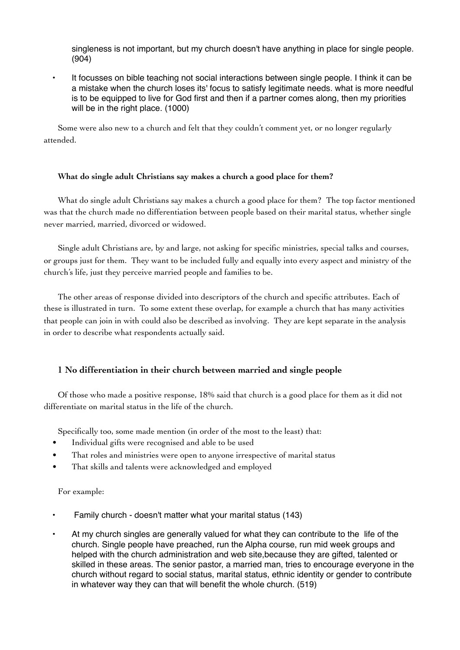singleness is not important, but my church doesn't have anything in place for single people. (904)

• It focusses on bible teaching not social interactions between single people. I think it can be a mistake when the church loses its' focus to satisfy legitimate needs. what is more needful is to be equipped to live for God first and then if a partner comes along, then my priorities will be in the right place. (1000)

Some were also new to a church and felt that they couldn't comment yet, or no longer regularly attended.

#### **What do single adult Christians say makes a church a good place for them?**

What do single adult Christians say makes a church a good place for them? The top factor mentioned was that the church made no differentiation between people based on their marital status, whether single never married, married, divorced or widowed.

Single adult Christians are, by and large, not asking for specific ministries, special talks and courses, or groups just for them. They want to be included fully and equally into every aspect and ministry of the church's life, just they perceive married people and families to be.

The other areas of response divided into descriptors of the church and specific attributes. Each of these is illustrated in turn. To some extent these overlap, for example a church that has many activities that people can join in with could also be described as involving. They are kept separate in the analysis in order to describe what respondents actually said.

#### **1 No differentiation in their church between married and single people**

Of those who made a positive response, 18% said that church is a good place for them as it did not differentiate on marital status in the life of the church.

Specifically too, some made mention (in order of the most to the least) that:

- Individual gifts were recognised and able to be used
- That roles and ministries were open to anyone irrespective of marital status
- That skills and talents were acknowledged and employed

#### For example:

- Family church doesn't matter what your marital status (143)
- At my church singles are generally valued for what they can contribute to the life of the church. Single people have preached, run the Alpha course, run mid week groups and helped with the church administration and web site,because they are gifted, talented or skilled in these areas. The senior pastor, a married man, tries to encourage everyone in the church without regard to social status, marital status, ethnic identity or gender to contribute in whatever way they can that will benefit the whole church. (519)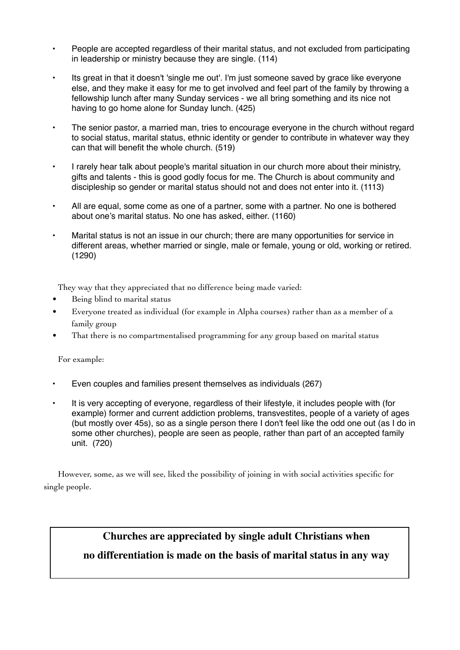- People are accepted regardless of their marital status, and not excluded from participating in leadership or ministry because they are single. (114)
- Its great in that it doesn't 'single me out'. I'm just someone saved by grace like everyone else, and they make it easy for me to get involved and feel part of the family by throwing a fellowship lunch after many Sunday services - we all bring something and its nice not having to go home alone for Sunday lunch. (425)
- The senior pastor, a married man, tries to encourage everyone in the church without regard to social status, marital status, ethnic identity or gender to contribute in whatever way they can that will benefit the whole church. (519)
- I rarely hear talk about people's marital situation in our church more about their ministry, gifts and talents - this is good godly focus for me. The Church is about community and discipleship so gender or marital status should not and does not enter into it. (1113)
- All are equal, some come as one of a partner, some with a partner. No one is bothered about one's marital status. No one has asked, either. (1160)
- Marital status is not an issue in our church; there are many opportunities for service in different areas, whether married or single, male or female, young or old, working or retired. (1290)

They way that they appreciated that no difference being made varied:

- Being blind to marital status
- Everyone treated as individual (for example in Alpha courses) rather than as a member of a family group
- That there is no compartmentalised programming for any group based on marital status

For example:

- Even couples and families present themselves as individuals (267)
- It is very accepting of everyone, regardless of their lifestyle, it includes people with (for example) former and current addiction problems, transvestites, people of a variety of ages (but mostly over 45s), so as a single person there I don't feel like the odd one out (as I do in some other churches), people are seen as people, rather than part of an accepted family unit. (720)

However, some, as we will see, liked the possibility of joining in with social activities specific for single people.

# **Churches are appreciated by single adult Christians when**

# **no differentiation is made on the basis of marital status in any way**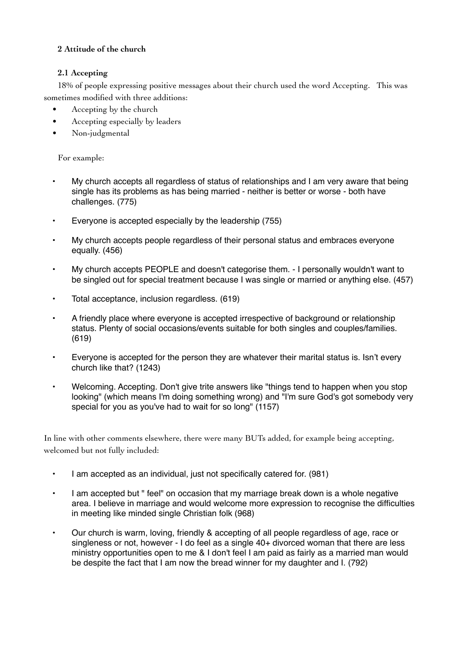### **2 Attitude of the church**

### **2.1 Accepting**

18% of people expressing positive messages about their church used the word Accepting. This was sometimes modified with three additions:

- Accepting by the church
- Accepting especially by leaders
- Non-judgmental

For example:

- My church accepts all regardless of status of relationships and I am very aware that being single has its problems as has being married - neither is better or worse - both have challenges. (775)
- Everyone is accepted especially by the leadership (755)
- My church accepts people regardless of their personal status and embraces everyone equally. (456)
- My church accepts PEOPLE and doesn't categorise them. I personally wouldn't want to be singled out for special treatment because I was single or married or anything else. (457)
- Total acceptance, inclusion regardless. (619)
- A friendly place where everyone is accepted irrespective of background or relationship status. Plenty of social occasions/events suitable for both singles and couples/families. (619)
- Everyone is accepted for the person they are whatever their marital status is. Isn't every church like that? (1243)
- Welcoming. Accepting. Don't give trite answers like "things tend to happen when you stop looking" (which means I'm doing something wrong) and "I'm sure God's got somebody very special for you as you've had to wait for so long" (1157)

In line with other comments elsewhere, there were many BUTs added, for example being accepting, welcomed but not fully included:

- I am accepted as an individual, just not specifically catered for. (981)
- I am accepted but " feel" on occasion that my marriage break down is a whole negative area. I believe in marriage and would welcome more expression to recognise the difficulties in meeting like minded single Christian folk (968)
- Our church is warm, loving, friendly & accepting of all people regardless of age, race or singleness or not, however - I do feel as a single 40+ divorced woman that there are less ministry opportunities open to me & I don't feel I am paid as fairly as a married man would be despite the fact that I am now the bread winner for my daughter and I. (792)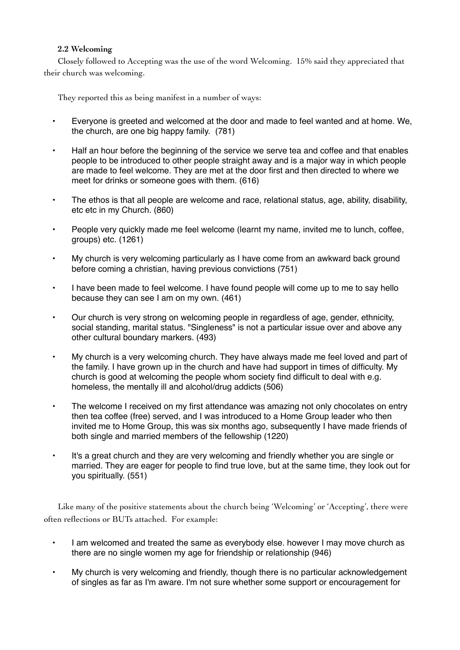#### **2.2 Welcoming**

Closely followed to Accepting was the use of the word Welcoming. 15% said they appreciated that their church was welcoming.

They reported this as being manifest in a number of ways:

- Everyone is greeted and welcomed at the door and made to feel wanted and at home. We, the church, are one big happy family. (781)
- Half an hour before the beginning of the service we serve tea and coffee and that enables people to be introduced to other people straight away and is a major way in which people are made to feel welcome. They are met at the door first and then directed to where we meet for drinks or someone goes with them. (616)
- The ethos is that all people are welcome and race, relational status, age, ability, disability, etc etc in my Church. (860)
- People very quickly made me feel welcome (learnt my name, invited me to lunch, coffee, groups) etc. (1261)
- My church is very welcoming particularly as I have come from an awkward back ground before coming a christian, having previous convictions (751)
- I have been made to feel welcome. I have found people will come up to me to say hello because they can see I am on my own. (461)
- Our church is very strong on welcoming people in regardless of age, gender, ethnicity, social standing, marital status. "Singleness" is not a particular issue over and above any other cultural boundary markers. (493)
- My church is a very welcoming church. They have always made me feel loved and part of the family. I have grown up in the church and have had support in times of difficulty. My church is good at welcoming the people whom society find difficult to deal with e.g. homeless, the mentally ill and alcohol/drug addicts (506)
- The welcome I received on my first attendance was amazing not only chocolates on entry then tea coffee (free) served, and I was introduced to a Home Group leader who then invited me to Home Group, this was six months ago, subsequently I have made friends of both single and married members of the fellowship (1220)
- It's a great church and they are very welcoming and friendly whether you are single or married. They are eager for people to find true love, but at the same time, they look out for you spiritually. (551)

Like many of the positive statements about the church being 'Welcoming' or 'Accepting', there were often reflections or BUTs attached. For example:

- I am welcomed and treated the same as everybody else. however I may move church as there are no single women my age for friendship or relationship (946)
- My church is very welcoming and friendly, though there is no particular acknowledgement of singles as far as I'm aware. I'm not sure whether some support or encouragement for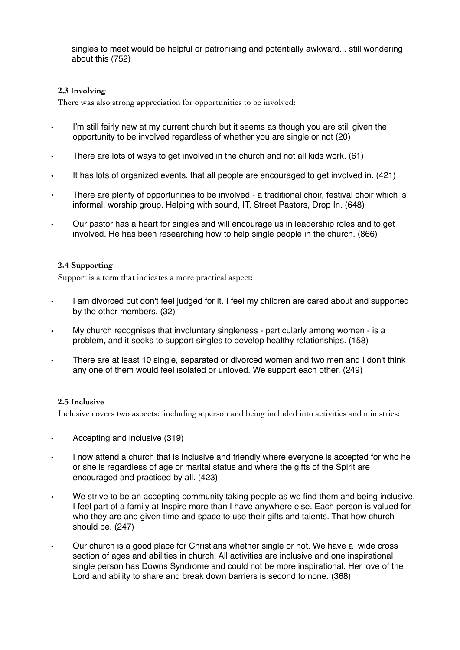singles to meet would be helpful or patronising and potentially awkward... still wondering about this (752)

### **2.3 Involving**

There was also strong appreciation for opportunities to be involved:

- I'm still fairly new at my current church but it seems as though you are still given the opportunity to be involved regardless of whether you are single or not (20)
- There are lots of ways to get involved in the church and not all kids work. (61)
- It has lots of organized events, that all people are encouraged to get involved in. (421)
- There are plenty of opportunities to be involved a traditional choir, festival choir which is informal, worship group. Helping with sound, IT, Street Pastors, Drop In. (648)
- Our pastor has a heart for singles and will encourage us in leadership roles and to get involved. He has been researching how to help single people in the church. (866)

#### **2.4 Supporting**

Support is a term that indicates a more practical aspect:

- I am divorced but don't feel judged for it. I feel my children are cared about and supported by the other members. (32)
- My church recognises that involuntary singleness particularly among women is a problem, and it seeks to support singles to develop healthy relationships. (158)
- There are at least 10 single, separated or divorced women and two men and I don't think any one of them would feel isolated or unloved. We support each other. (249)

#### **2.5 Inclusive**

Inclusive covers two aspects: including a person and being included into activities and ministries:

- Accepting and inclusive (319)
- I now attend a church that is inclusive and friendly where everyone is accepted for who he or she is regardless of age or marital status and where the gifts of the Spirit are encouraged and practiced by all. (423)
- We strive to be an accepting community taking people as we find them and being inclusive. I feel part of a family at Inspire more than I have anywhere else. Each person is valued for who they are and given time and space to use their gifts and talents. That how church should be. (247)
- Our church is a good place for Christians whether single or not. We have a wide cross section of ages and abilities in church. All activities are inclusive and one inspirational single person has Downs Syndrome and could not be more inspirational. Her love of the Lord and ability to share and break down barriers is second to none. (368)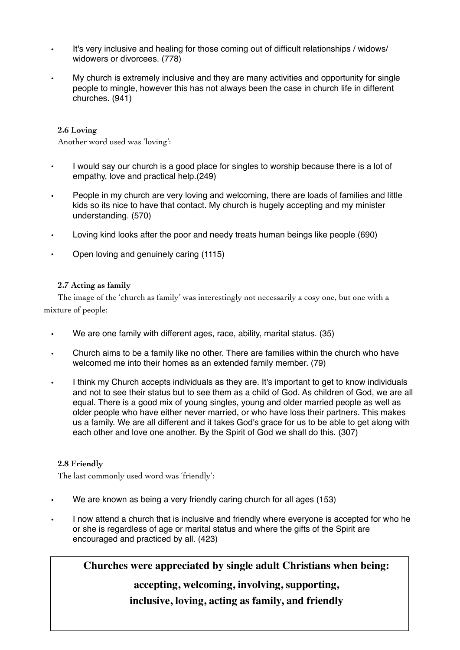- It's very inclusive and healing for those coming out of difficult relationships / widows/ widowers or divorcees. (778)
- My church is extremely inclusive and they are many activities and opportunity for single people to mingle, however this has not always been the case in church life in different churches. (941)

#### **2.6 Loving**

Another word used was 'loving':

- I would say our church is a good place for singles to worship because there is a lot of empathy, love and practical help.(249)
- People in my church are very loving and welcoming, there are loads of families and little kids so its nice to have that contact. My church is hugely accepting and my minister understanding. (570)
- Loving kind looks after the poor and needy treats human beings like people (690)
- Open loving and genuinely caring (1115)

### **2.7 Acting as family**

The image of the 'church as family' was interestingly not necessarily a cosy one, but one with a mixture of people:

- We are one family with different ages, race, ability, marital status. (35)
- Church aims to be a family like no other. There are families within the church who have welcomed me into their homes as an extended family member. (79)
- I think my Church accepts individuals as they are. It's important to get to know individuals and not to see their status but to see them as a child of God. As children of God, we are all equal. There is a good mix of young singles, young and older married people as well as older people who have either never married, or who have loss their partners. This makes us a family. We are all different and it takes God's grace for us to be able to get along with each other and love one another. By the Spirit of God we shall do this. (307)

#### **2.8 Friendly**

The last commonly used word was 'friendly':

- We are known as being a very friendly caring church for all ages (153)
- I now attend a church that is inclusive and friendly where everyone is accepted for who he or she is regardless of age or marital status and where the gifts of the Spirit are encouraged and practiced by all. (423)

**Churches were appreciated by single adult Christians when being:**

# **accepting, welcoming, involving, supporting,**

**inclusive, loving, acting as family, and friendly**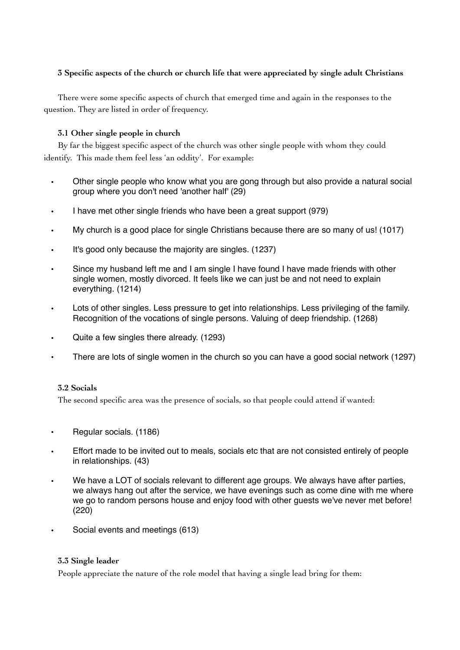### **3 Specific aspects of the church or church life that were appreciated by single adult Christians**

There were some specific aspects of church that emerged time and again in the responses to the question. They are listed in order of frequency.

#### **3.1 Other single people in church**

By far the biggest specific aspect of the church was other single people with whom they could identify. This made them feel less 'an oddity'. For example:

- Other single people who know what you are gong through but also provide a natural social group where you don't need 'another half' (29)
- I have met other single friends who have been a great support (979)
- My church is a good place for single Christians because there are so many of us! (1017)
- It's good only because the majority are singles. (1237)
- Since my husband left me and I am single I have found I have made friends with other single women, mostly divorced. It feels like we can just be and not need to explain everything. (1214)
- Lots of other singles. Less pressure to get into relationships. Less privileging of the family. Recognition of the vocations of single persons. Valuing of deep friendship. (1268)
- Quite a few singles there already. (1293)
- There are lots of single women in the church so you can have a good social network (1297)

#### **3.2 Socials**

The second specific area was the presence of socials, so that people could attend if wanted:

- Regular socials. (1186)
- Effort made to be invited out to meals, socials etc that are not consisted entirely of people in relationships. (43)
- We have a LOT of socials relevant to different age groups. We always have after parties, we always hang out after the service, we have evenings such as come dine with me where we go to random persons house and enjoy food with other guests we've never met before! (220)
	- Social events and meetings (613)

#### **3.3 Single leader**

People appreciate the nature of the role model that having a single lead bring for them: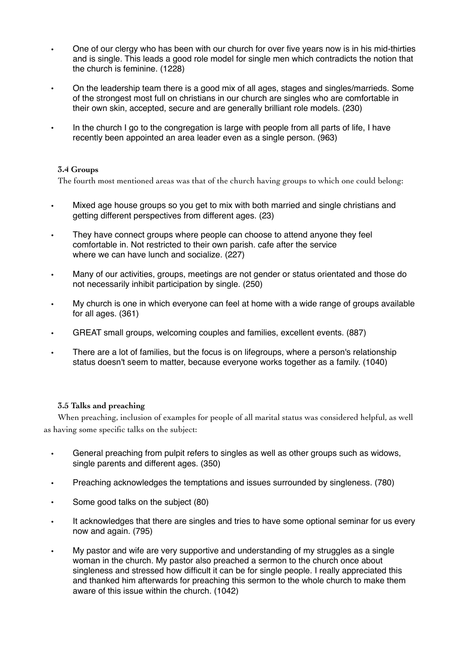- One of our clergy who has been with our church for over five years now is in his mid-thirties and is single. This leads a good role model for single men which contradicts the notion that the church is feminine. (1228)
- On the leadership team there is a good mix of all ages, stages and singles/marrieds. Some of the strongest most full on christians in our church are singles who are comfortable in their own skin, accepted, secure and are generally brilliant role models. (230)
- In the church I go to the congregation is large with people from all parts of life, I have recently been appointed an area leader even as a single person. (963)

#### **3.4 Groups**

The fourth most mentioned areas was that of the church having groups to which one could belong:

- Mixed age house groups so you get to mix with both married and single christians and getting different perspectives from different ages. (23)
- They have connect groups where people can choose to attend anyone they feel comfortable in. Not restricted to their own parish. cafe after the service where we can have lunch and socialize. (227)
- Many of our activities, groups, meetings are not gender or status orientated and those do not necessarily inhibit participation by single. (250)
- My church is one in which everyone can feel at home with a wide range of groups available for all ages. (361)
- GREAT small groups, welcoming couples and families, excellent events. (887)
- There are a lot of families, but the focus is on lifegroups, where a person's relationship status doesn't seem to matter, because everyone works together as a family. (1040)

#### **3.5 Talks and preaching**

When preaching, inclusion of examples for people of all marital status was considered helpful, as well as having some specific talks on the subject:

- General preaching from pulpit refers to singles as well as other groups such as widows, single parents and different ages. (350)
- Preaching acknowledges the temptations and issues surrounded by singleness. (780)
- Some good talks on the subject (80)
- It acknowledges that there are singles and tries to have some optional seminar for us every now and again. (795)
- My pastor and wife are very supportive and understanding of my struggles as a single woman in the church. My pastor also preached a sermon to the church once about singleness and stressed how difficult it can be for single people. I really appreciated this and thanked him afterwards for preaching this sermon to the whole church to make them aware of this issue within the church. (1042)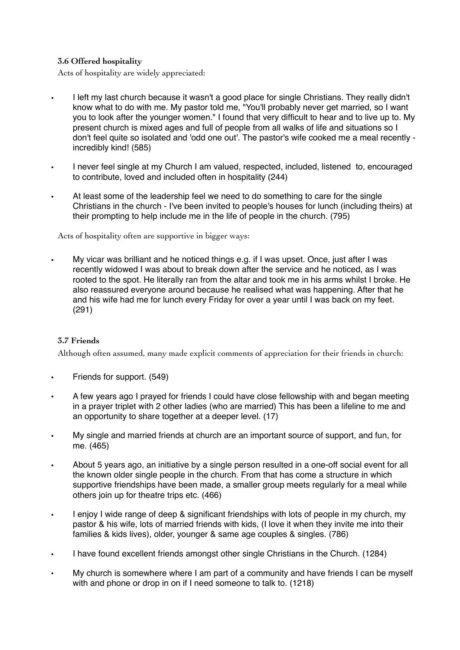### **3.6 Offered hospitality**

Acts of hospitality are widely appreciated:

- I left my last church because it wasn't a good place for single Christians. They really didn't know what to do with me. My pastor told me, "You'll probably never get married, so I want you to look after the younger women." I found that very difficult to hear and to live up to. My present church is mixed ages and full of people from all walks of life and situations so I don't feel quite so isolated and 'odd one out'. The pastor's wife cooked me a meal recently incredibly kind! (585)
- I never feel single at my Church I am valued, respected, included, listened to, encouraged to contribute, loved and included often in hospitality (244)
- At least some of the leadership feel we need to do something to care for the single Christians in the church - I've been invited to people's houses for lunch (including theirs) at their prompting to help include me in the life of people in the church. (795)

Acts of hospitality often are supportive in bigger ways:

• My vicar was brilliant and he noticed things e.g. if I was upset. Once, just after I was recently widowed I was about to break down after the service and he noticed, as I was rooted to the spot. He literally ran from the altar and took me in his arms whilst I broke. He also reassured everyone around because he realised what was happening. After that he and his wife had me for lunch every Friday for over a year until I was back on my feet. (291)

#### **3.7 Friends**

Although often assumed, many made explicit comments of appreciation for their friends in church:

- Friends for support. (549)
- A few years ago I prayed for friends I could have close fellowship with and began meeting in a prayer triplet with 2 other ladies (who are married) This has been a lifeline to me and an opportunity to share together at a deeper level. (17)
- My single and married friends at church are an important source of support, and fun, for me. (465)
- About 5 years ago, an initiative by a single person resulted in a one-off social event for all the known older single people in the church. From that has come a structure in which supportive friendships have been made, a smaller group meets regularly for a meal while others join up for theatre trips etc. (466)
- I enjoy I wide range of deep & significant friendships with lots of people in my church, my pastor & his wife, lots of married friends with kids, (I love it when they invite me into their families & kids lives), older, younger & same age couples & singles. (786)
- I have found excellent friends amongst other single Christians in the Church. (1284)
- My church is somewhere where I am part of a community and have friends I can be myself with and phone or drop in on if I need someone to talk to. (1218)